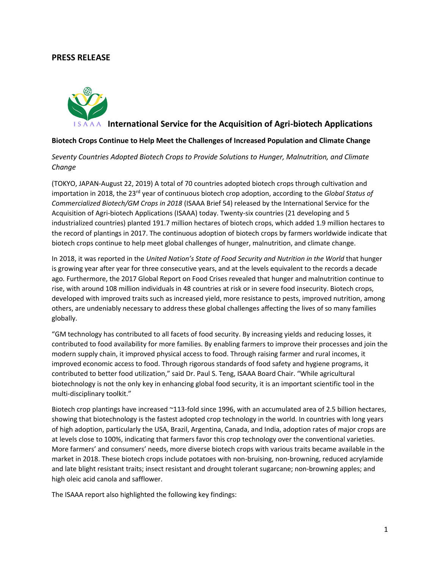## **PRESS RELEASE**



## **IS A A A** International Service for the Acquisition of Agri-biotech Applications

## **Biotech Crops Continue to Help Meet the Challenges of Increased Population and Climate Change**

*Seventy Countries Adopted Biotech Crops to Provide Solutions to Hunger, Malnutrition, and Climate Change*

(TOKYO, JAPAN-August 22, 2019) A total of 70 countries adopted biotech crops through cultivation and importation in 2018, the 23rd year of continuous biotech crop adoption, according to the *Global Status of Commercialized Biotech/GM Crops in 2018* (ISAAA Brief 54) released by the International Service for the Acquisition of Agri-biotech Applications (ISAAA) today. Twenty-six countries (21 developing and 5 industrialized countries) planted 191.7 million hectares of biotech crops, which added 1.9 million hectares to the record of plantings in 2017. The continuous adoption of biotech crops by farmers worldwide indicate that biotech crops continue to help meet global challenges of hunger, malnutrition, and climate change.

In 2018, it was reported in the *United Nation's State of Food Security and Nutrition in the World* that hunger is growing year after year for three consecutive years, and at the levels equivalent to the records a decade ago. Furthermore, the 2017 Global Report on Food Crises revealed that hunger and malnutrition continue to rise, with around 108 million individuals in 48 countries at risk or in severe food insecurity. Biotech crops, developed with improved traits such as increased yield, more resistance to pests, improved nutrition, among others, are undeniably necessary to address these global challenges affecting the lives of so many families globally.

"GM technology has contributed to all facets of food security. By increasing yields and reducing losses, it contributed to food availability for more families. By enabling farmers to improve their processes and join the modern supply chain, it improved physical access to food. Through raising farmer and rural incomes, it improved economic access to food. Through rigorous standards of food safety and hygiene programs, it contributed to better food utilization," said Dr. Paul S. Teng, ISAAA Board Chair. "While agricultural biotechnology is not the only key in enhancing global food security, it is an important scientific tool in the multi-disciplinary toolkit."

Biotech crop plantings have increased ~113-fold since 1996, with an accumulated area of 2.5 billion hectares, showing that biotechnology is the fastest adopted crop technology in the world. In countries with long years of high adoption, particularly the USA, Brazil, Argentina, Canada, and India, adoption rates of major crops are at levels close to 100%, indicating that farmers favor this crop technology over the conventional varieties. More farmers' and consumers' needs, more diverse biotech crops with various traits became available in the market in 2018. These biotech crops include potatoes with non-bruising, non-browning, reduced acrylamide and late blight resistant traits; insect resistant and drought tolerant sugarcane; non-browning apples; and high oleic acid canola and safflower.

The ISAAA report also highlighted the following key findings: